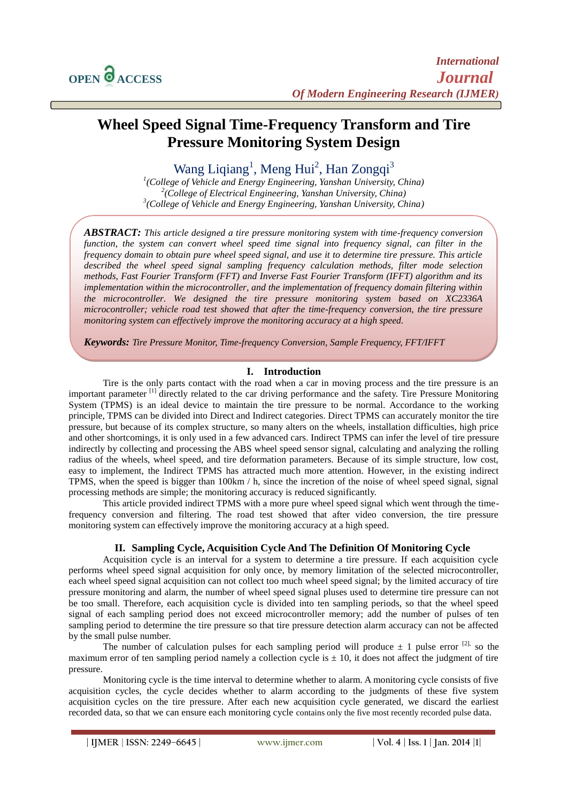# **Wheel Speed Signal Time-Frequency Transform and Tire Pressure Monitoring System Design**

## Wang Liqiang<sup>1</sup>, Meng Hui<sup>2</sup>, Han Zongqi<sup>3</sup>

*1 (College of Vehicle and Energy Engineering, Yanshan University, China) 2 (College of Electrical Engineering, Yanshan University, China) 3 (College of Vehicle and Energy Engineering, Yanshan University, China)*

*ABSTRACT: This article designed a tire pressure monitoring system with time-frequency conversion function, the system can convert wheel speed time signal into frequency signal, can filter in the frequency domain to obtain pure wheel speed signal, and use it to determine tire pressure. This article described the wheel speed signal sampling frequency calculation methods, filter mode selection methods, Fast Fourier Transform (FFT) and Inverse Fast Fourier Transform (IFFT) algorithm and its implementation within the microcontroller, and the implementation of frequency domain filtering within the microcontroller. We designed the tire pressure monitoring system based on XC2336A microcontroller; vehicle road test showed that after the time-frequency conversion, the tire pressure monitoring system can effectively improve the monitoring accuracy at a high speed.*

*Keywords: Tire Pressure Monitor, Time-frequency Conversion, Sample Frequency, FFT/IFFT*

## **I. Introduction**

Tire is the only parts contact with the road when a car in moving process and the tire pressure is an important parameter <sup>[1]</sup> directly related to the car driving performance and the safety. Tire Pressure Monitoring System (TPMS) is an ideal device to maintain the tire pressure to be normal. Accordance to the working principle, TPMS can be divided into Direct and Indirect categories. Direct TPMS can accurately monitor the tire pressure, but because of its complex structure, so many alters on the wheels, installation difficulties, high price and other shortcomings, it is only used in a few advanced cars. Indirect TPMS can infer the level of tire pressure indirectly by collecting and processing the ABS wheel speed sensor signal, calculating and analyzing the rolling radius of the wheels, wheel speed, and tire deformation parameters. Because of its simple structure, low cost, easy to implement, the Indirect TPMS has attracted much more attention. However, in the existing indirect TPMS, when the speed is bigger than 100km / h, since the incretion of the noise of wheel speed signal, signal processing methods are simple; the monitoring accuracy is reduced significantly.

This article provided indirect TPMS with a more pure wheel speed signal which went through the timefrequency conversion and filtering. The road test showed that after video conversion, the tire pressure monitoring system can effectively improve the monitoring accuracy at a high speed.

## **II. Sampling Cycle, Acquisition Cycle And The Definition Of Monitoring Cycle**

Acquisition cycle is an interval for a system to determine a tire pressure. If each acquisition cycle performs wheel speed signal acquisition for only once, by memory limitation of the selected microcontroller, each wheel speed signal acquisition can not collect too much wheel speed signal; by the limited accuracy of tire pressure monitoring and alarm, the number of wheel speed signal pluses used to determine tire pressure can not be too small. Therefore, each acquisition cycle is divided into ten sampling periods, so that the wheel speed signal of each sampling period does not exceed microcontroller memory; add the number of pulses of ten sampling period to determine the tire pressure so that tire pressure detection alarm accuracy can not be affected by the small pulse number.

The number of calculation pulses for each sampling period will produce  $\pm$  1 pulse error <sup>[2],</sup> so the maximum error of ten sampling period namely a collection cycle is  $\pm 10$ , it does not affect the judgment of tire pressure.

Monitoring cycle is the time interval to determine whether to alarm. A monitoring cycle consists of five acquisition cycles, the cycle decides whether to alarm according to the judgments of these five system acquisition cycles on the tire pressure. After each new acquisition cycle generated, we discard the earliest recorded data, so that we can ensure each monitoring cycle contains only the five most recently recorded pulse data.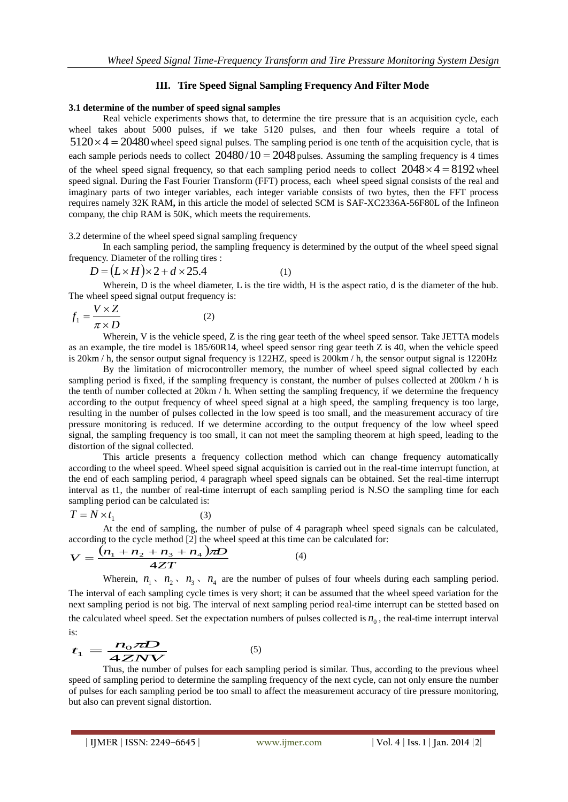## **III. Tire Speed Signal Sampling Frequency And Filter Mode**

#### **3.1 determine of the number of speed signal samples**

Real vehicle experiments shows that, to determine the tire pressure that is an acquisition cycle, each wheel takes about 5000 pulses, if we take 5120 pulses, and then four wheels require a total of  $5120 \times 4 = 20480$  wheel speed signal pulses. The sampling period is one tenth of the acquisition cycle, that is each sample periods needs to collect  $20480/10 = 2048$  pulses. Assuming the sampling frequency is 4 times of the wheel speed signal frequency, so that each sampling period needs to collect  $2048 \times 4 = 8192$  wheel speed signal. During the Fast Fourier Transform (FFT) process, each wheel speed signal consists of the real and imaginary parts of two integer variables, each integer variable consists of two bytes, then the FFT process requires namely 32K RAM**,** in this article the model of selected SCM is SAF-XC2336A-56F80L of the Infineon company, the chip RAM is 50K, which meets the requirements.

3.2 determine of the wheel speed signal sampling frequency

In each sampling period, the sampling frequency is determined by the output of the wheel speed signal frequency. Diameter of the rolling tires :

$$
D = (L \times H) \times 2 + d \times 25.4
$$
 (1)

Wherein, D is the wheel diameter, L is the tire width, H is the aspect ratio, d is the diameter of the hub. The wheel speed signal output frequency is:

$$
f_1 = \frac{V \times Z}{\pi \times D} \tag{2}
$$

Wherein, V is the vehicle speed, Z is the ring gear teeth of the wheel speed sensor. Take JETTA models as an example, the tire model is 185/60R14, wheel speed sensor ring gear teeth Z is 40, when the vehicle speed is 20km / h, the sensor output signal frequency is 122HZ, speed is 200km / h, the sensor output signal is 1220Hz

By the limitation of microcontroller memory, the number of wheel speed signal collected by each sampling period is fixed, if the sampling frequency is constant, the number of pulses collected at 200km / h is the tenth of number collected at 20km / h. When setting the sampling frequency, if we determine the frequency according to the output frequency of wheel speed signal at a high speed, the sampling frequency is too large, resulting in the number of pulses collected in the low speed is too small, and the measurement accuracy of tire pressure monitoring is reduced. If we determine according to the output frequency of the low wheel speed signal, the sampling frequency is too small, it can not meet the sampling theorem at high speed, leading to the distortion of the signal collected.

This article presents a frequency collection method which can change frequency automatically according to the wheel speed. Wheel speed signal acquisition is carried out in the real-time interrupt function, at the end of each sampling period, 4 paragraph wheel speed signals can be obtained. Set the real-time interrupt interval as t1, the number of real-time interrupt of each sampling period is N.SO the sampling time for each sampling period can be calculated is:

$$
T = N \times t_1 \tag{3}
$$

At the end of sampling, the number of pulse of 4 paragraph wheel speed signals can be calculated,

according to the cycle method [2] the wheel speed at this time can be calculated for:  
\n
$$
V = \frac{(n_1 + n_2 + n_3 + n_4)\pi D}{4ZT}
$$
\n(4)

Wherein,  $n_1$ ,  $n_2$ ,  $n_3$ ,  $n_4$  are the number of pulses of four wheels during each sampling period. The interval of each sampling cycle times is very short; it can be assumed that the wheel speed variation for the next sampling period is not big. The interval of next sampling period real-time interrupt can be stetted based on the calculated wheel speed. Set the expectation numbers of pulses collected is  $n_0$ , the real-time interval is:

is:  
\n
$$
t_1 = \frac{n_0 \pi D}{4 Z N V}
$$
\n(5)

Thus, the number of pulses for each sampling period is similar. Thus, according to the previous wheel speed of sampling period to determine the sampling frequency of the next cycle, can not only ensure the number of pulses for each sampling period be too small to affect the measurement accuracy of tire pressure monitoring, but also can prevent signal distortion.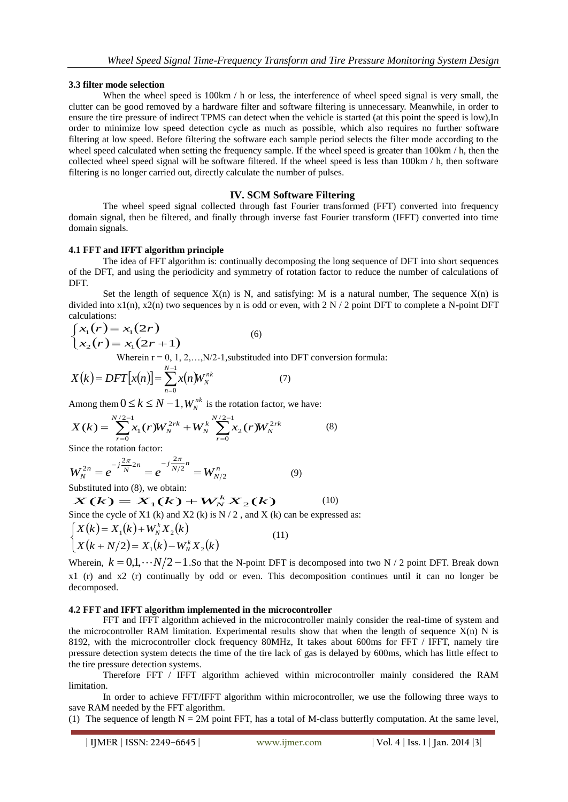#### **3.3 filter mode selection**

When the wheel speed is  $100 \text{km}$  / h or less, the interference of wheel speed signal is very small, the clutter can be good removed by a hardware filter and software filtering is unnecessary. Meanwhile, in order to ensure the tire pressure of indirect TPMS can detect when the vehicle is started (at this point the speed is low),In order to minimize low speed detection cycle as much as possible, which also requires no further software filtering at low speed. Before filtering the software each sample period selects the filter mode according to the wheel speed calculated when setting the frequency sample. If the wheel speed is greater than 100km / h, then the collected wheel speed signal will be software filtered. If the wheel speed is less than 100km / h, then software filtering is no longer carried out, directly calculate the number of pulses.

## **IV. SCM Software Filtering**

The wheel speed signal collected through fast Fourier transformed (FFT) converted into frequency domain signal, then be filtered, and finally through inverse fast Fourier transform (IFFT) converted into time domain signals.

## **4.1 FFT and IFFT algorithm principle**

The idea of FFT algorithm is: continually decomposing the long sequence of DFT into short sequences of the DFT, and using the periodicity and symmetry of rotation factor to reduce the number of calculations of DFT.

Set the length of sequence  $X(n)$  is N, and satisfying: M is a natural number, The sequence  $X(n)$  is divided into  $x1(n)$ ,  $x2(n)$  two sequences by n is odd or even, with 2 N / 2 point DFT to complete a N-point DFT calculations:

$$
\begin{cases}\n x_1(r) = x_1(2r) & (6) \\
 x_2(r) = x_1(2r+1) & \text{Wherein } r = 0, 1, 2, \dots, N/2-1, \text{substituted into DFT conversion formula:}\n\end{cases}
$$

$$
X(k) = DFT[x(n)] = \sum_{n=0}^{N-1} x(n)W_N^{nk}
$$
 (7)

Among them  $0 \le k \le N - 1$ ,  $W_N^{nk}$  is the rotation factor, we have:

$$
X(k) = \sum_{r=0}^{N/2-1} x_1(r) W_N^{2rk} + W_N^k \sum_{r=0}^{N/2-1} x_2(r) W_N^{2rk}
$$
 (8)

Since the rotation factor:

$$
W_N^{2n} = e^{-j\frac{2\pi}{N}2n} = e^{-j\frac{2\pi}{N/2}n} = W_{N/2}^n
$$
 (9)

Substituted into (8), we obtain:

ubstituted into (8), we obtain:  $X(k) = X_1(k) + W_N^k X_2(k)$  (10) Since the cycle of X1 (k) and X2 (k) is  $N/2$ , and X (k) can be expressed as:  $X(k) = X_1(k) + W_N^k X_2(k)$  $X(k+N/2) = X_1(k) - W_N^k X_2(k)$ (11)

Wherein,  $k = 0, 1, \dots N/2 - 1$ . So that the N-point DFT is decomposed into two N / 2 point DFT. Break down x1 (r) and x2 (r) continually by odd or even. This decomposition continues until it can no longer be decomposed.

#### **4.2 FFT and IFFT algorithm implemented in the microcontroller**

FFT and IFFT algorithm achieved in the microcontroller mainly consider the real-time of system and the microcontroller RAM limitation. Experimental results show that when the length of sequence  $X(n)$  N is 8192, with the microcontroller clock frequency 80MHz, It takes about 600ms for FFT / IFFT, namely tire pressure detection system detects the time of the tire lack of gas is delayed by 600ms, which has little effect to the tire pressure detection systems.

Therefore FFT / IFFT algorithm achieved within microcontroller mainly considered the RAM limitation.

In order to achieve FFT/IFFT algorithm within microcontroller, we use the following three ways to save RAM needed by the FFT algorithm.

(1) The sequence of length  $N = 2M$  point FFT, has a total of M-class butterfly computation. At the same level,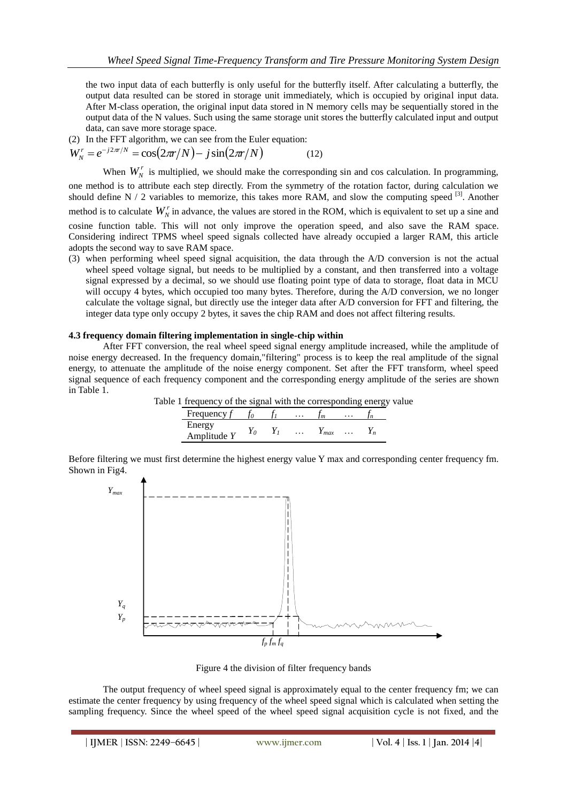the two input data of each butterfly is only useful for the butterfly itself. After calculating a butterfly, the output data resulted can be stored in storage unit immediately, which is occupied by original input data. After M-class operation, the original input data stored in N memory cells may be sequentially stored in the output data of the N values. Such using the same storage unit stores the butterfly calculated input and output data, can save more storage space.

(2) In the FFT algorithm, we can see from the Euler equation:

$$
W_N' = e^{-j2\pi/N} = \cos(2\pi r/N) - j\sin(2\pi r/N)
$$
 (12)

When  $W_N^r$  is multiplied, we should make the corresponding sin and cos calculation. In programming, one method is to attribute each step directly. From the symmetry of the rotation factor, during calculation we should define  $N / 2$  variables to memorize, this takes more RAM, and slow the computing speed  $^{[3]}$ . Another

method is to calculate  $W_N^r$  in advance, the values are stored in the ROM, which is equivalent to set up a sine and cosine function table. This will not only improve the operation speed, and also save the RAM space. Considering indirect TPMS wheel speed signals collected have already occupied a larger RAM, this article adopts the second way to save RAM space.

(3) when performing wheel speed signal acquisition, the data through the A/D conversion is not the actual wheel speed voltage signal, but needs to be multiplied by a constant, and then transferred into a voltage signal expressed by a decimal, so we should use floating point type of data to storage, float data in MCU will occupy 4 bytes, which occupied too many bytes. Therefore, during the A/D conversion, we no longer calculate the voltage signal, but directly use the integer data after A/D conversion for FFT and filtering, the integer data type only occupy 2 bytes, it saves the chip RAM and does not affect filtering results.

#### **4.3 frequency domain filtering implementation in single-chip within**

After FFT conversion, the real wheel speed signal energy amplitude increased, while the amplitude of noise energy decreased. In the frequency domain,"filtering" process is to keep the real amplitude of the signal energy, to attenuate the amplitude of the noise energy component. Set after the FFT transform, wheel speed signal sequence of each frequency component and the corresponding energy amplitude of the series are shown in Table 1.

Table 1 frequency of the signal with the corresponding energy value

| Frequency               |  | $\ddot{\phantom{0}}$ |     | . |      |
|-------------------------|--|----------------------|-----|---|------|
| Energy<br>Amplitude $Y$ |  | .                    | max | . | . 11 |

Before filtering we must first determine the highest energy value Y max and corresponding center frequency fm. Shown in Fig4.



Figure 4 the division of filter frequency bands

The output frequency of wheel speed signal is approximately equal to the center frequency fm; we can estimate the center frequency by using frequency of the wheel speed signal which is calculated when setting the sampling frequency. Since the wheel speed of the wheel speed signal acquisition cycle is not fixed, and the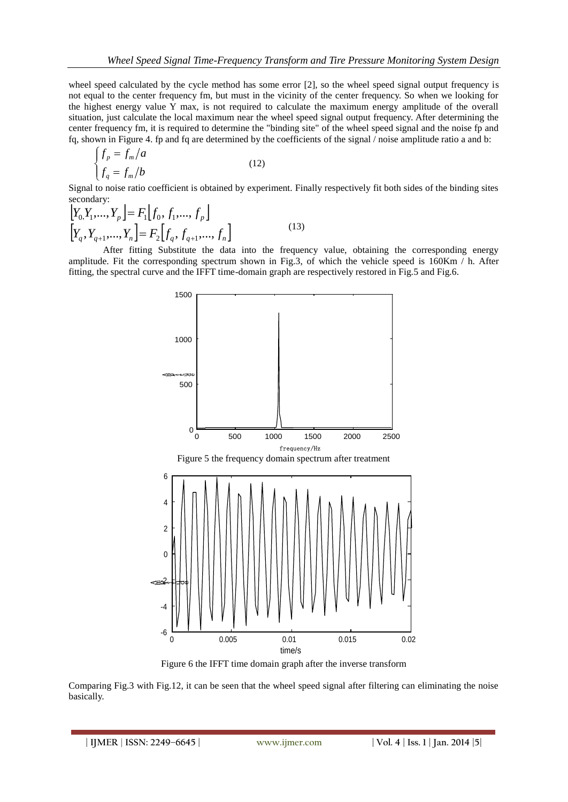wheel speed calculated by the cycle method has some error [2], so the wheel speed signal output frequency is not equal to the center frequency fm, but must in the vicinity of the center frequency. So when we looking for the highest energy value Y max, is not required to calculate the maximum energy amplitude of the overall situation, just calculate the local maximum near the wheel speed signal output frequency. After determining the center frequency fm, it is required to determine the "binding site" of the wheel speed signal and the noise fp and fq, shown in Figure 4. fp and fq are determined by the coefficients of the signal / noise amplitude ratio a and b:

$$
\begin{cases}\nf_p = f_m/a \\
f_q = f_m/b\n\end{cases}
$$
\n(12)

Signal to noise ratio coefficient is obtained by experiment. Finally respectively fit both sides of the binding sites secondary:

$$
\begin{aligned}\n\left[Y_{0}, Y_{1}, \ldots, Y_{p}\right] &= F_{1}\left[f_{0}, f_{1}, \ldots, f_{p}\right] \\
\left[Y_{q}, Y_{q+1}, \ldots, Y_{n}\right] &= F_{2}\left[f_{q}, f_{q+1}, \ldots, f_{n}\right]\n\end{aligned} \tag{13}
$$

After fitting Substitute the data into the frequency value, obtaining the corresponding energy amplitude. Fit the corresponding spectrum shown in Fig.3, of which the vehicle speed is 160Km / h. After fitting, the spectral curve and the IFFT time-domain graph are respectively restored in Fig.5 and Fig.6.



Figure 6 the IFFT time domain graph after the inverse transform

Comparing Fig.3 with Fig.12, it can be seen that the wheel speed signal after filtering can eliminating the noise basically.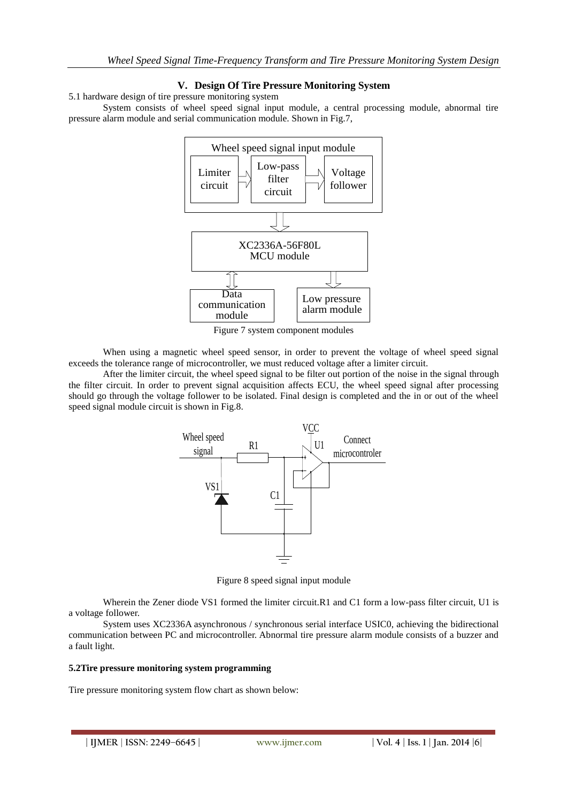## **V. Design Of Tire Pressure Monitoring System**

5.1 hardware design of tire pressure monitoring system

System consists of wheel speed signal input module, a central processing module, abnormal tire pressure alarm module and serial communication module. Shown in Fig.7,



Figure 7 system component modules

When using a magnetic wheel speed sensor, in order to prevent the voltage of wheel speed signal exceeds the tolerance range of microcontroller, we must reduced voltage after a limiter circuit.

After the limiter circuit, the wheel speed signal to be filter out portion of the noise in the signal through the filter circuit. In order to prevent signal acquisition affects ECU, the wheel speed signal after processing should go through the voltage follower to be isolated. Final design is completed and the in or out of the wheel speed signal module circuit is shown in Fig.8.



Figure 8 speed signal input module

Wherein the Zener diode VS1 formed the limiter circuit.R1 and C1 form a low-pass filter circuit, U1 is a voltage follower.

System uses XC2336A asynchronous / synchronous serial interface USIC0, achieving the bidirectional communication between PC and microcontroller. Abnormal tire pressure alarm module consists of a buzzer and a fault light.

#### **5.2Tire pressure monitoring system programming**

Tire pressure monitoring system flow chart as shown below: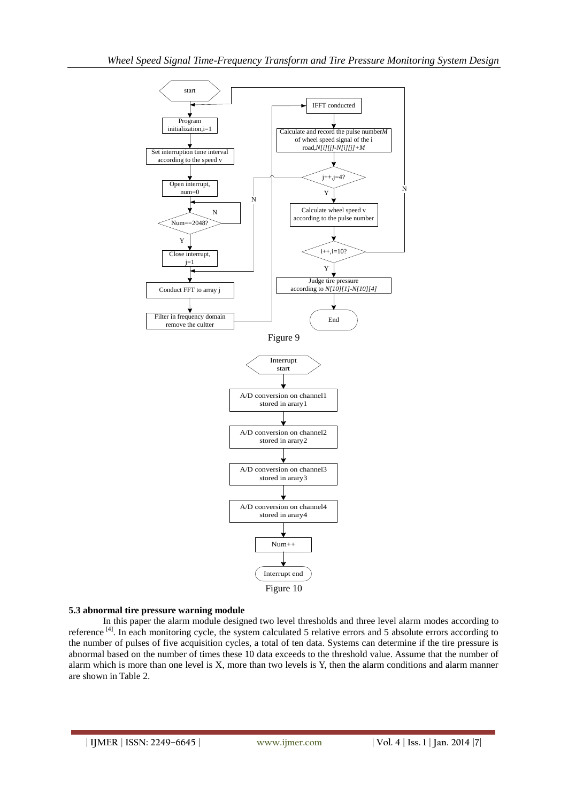

## **5.3 abnormal tire pressure warning module**

In this paper the alarm module designed two level thresholds and three level alarm modes according to reference<sup>[4]</sup>. In each monitoring cycle, the system calculated 5 relative errors and 5 absolute errors according to the number of pulses of five acquisition cycles, a total of ten data. Systems can determine if the tire pressure is abnormal based on the number of times these 10 data exceeds to the threshold value. Assume that the number of alarm which is more than one level is X, more than two levels is Y, then the alarm conditions and alarm manner are shown in Table 2.